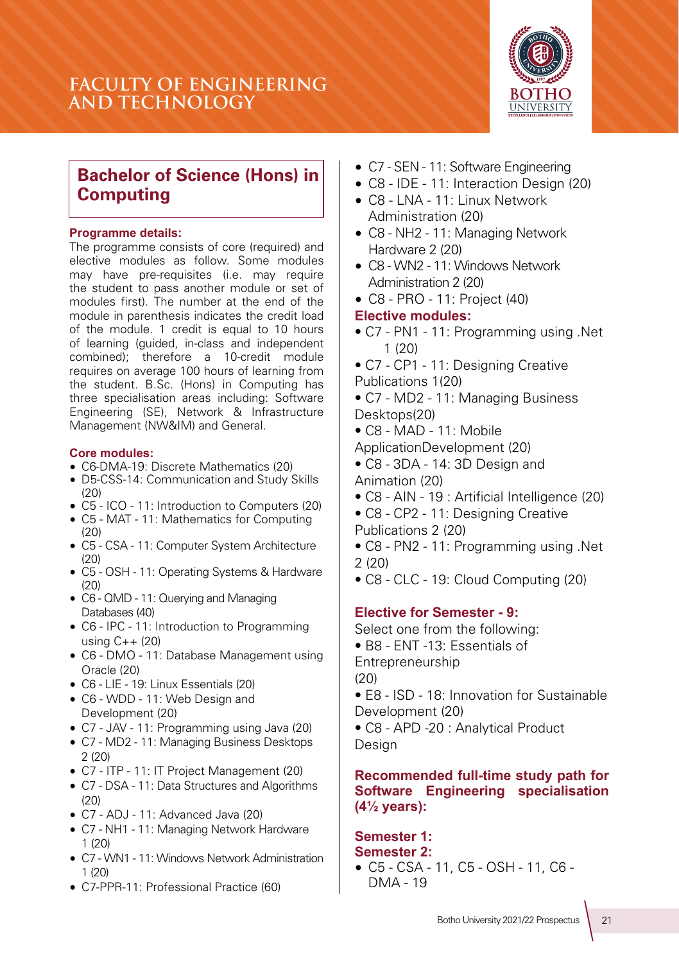# **FACULTY OF ENGINEERING AND TECHNOLOGY**



# **Bachelor of Science (Hons) in Computing**

#### **Programme details:**

The programme consists of core (required) and elective modules as follow. Some modules may have pre-requisites (i.e. may require the student to pass another module or set of modules first). The number at the end of the module in parenthesis indicates the credit load of the module. 1 credit is equal to 10 hours of learning (guided, in-class and independent combined); therefore a 10-credit module requires on average 100 hours of learning from the student. B.Sc. (Hons) in Computing has three specialisation areas including: Software Engineering (SE), Network & Infrastructure Management (NW&IM) and General.

#### **Core modules:**

- C6-DMA-19: Discrete Mathematics (20)
- D5-CSS-14: Communication and Study Skills (20)
- C5 ICO 11: Introduction to Computers (20)
- C5 MAT 11: Mathematics for Computing  $(20)$
- C5 CSA 11: Computer System Architecture (20)
- C5 OSH 11: Operating Systems & Hardware (20)
- C6 QMD 11: Querying and Managing Databases (40)
- C6 IPC 11: Introduction to Programming using C++ (20)
- C6 DMO 11: Database Management using Oracle (20)
- C6 LIE 19: Linux Essentials (20)
- C6 WDD 11: Web Design and Development (20)
- C7 JAV 11: Programming using Java (20)
- C7 MD2 11: Managing Business Desktops 2 (20)
- C7 ITP 11: IT Project Management (20)
- C7 DSA 11: Data Structures and Algorithms  $(20)$
- C7 ADJ 11: Advanced Java (20)
- C7 NH1 11: Managing Network Hardware 1 (20)
- C7 WN1 11: Windows Network Administration 1 (20)
- C7-PPR-11: Professional Practice (60)
- C7 SEN 11: Software Engineering
- C8 IDE 11: Interaction Design (20)
- C8 LNA 11: Linux Network Administration (20)
- C8 NH2 11: Managing Network Hardware 2 (20)
- C8 WN2 11: Windows Network Administration 2 (20)
- C8 PRO 11: Project (40)

#### **Elective modules:**

- C7 PN1 11: Programming using .Net  $1 (20)$
- C7 CP1 11: Designing Creative Publications 1(20)
- C7 MD2 11: Managing Business Desktops(20)
- $\bullet$  C8 MAD 11: Mobile
- ApplicationDevelopment (20)
- C8 3DA 14: 3D Design and Animation (20)
- C8 AIN 19 : Artificial Intelligence (20)
- C8 CP2 11: Designing Creative
- Publications 2 (20)
- C8 PN2 11: Programming using .Net  $2(20)$
- C8 CLC 19: Cloud Computing (20)

## **Elective for Semester - 9:**

Select one from the following: • B8 - ENT -13: Essentials of Entrepreneurship  $(20)$ • E8 - ISD - 18: Innovation for Sustainable Development (20)

• C8 - APD -20 : Analytical Product Design

## **Recommended full-time study path for Software Engineering specialisation (4½ years):**

#### **Semester 1: Semester 2:**

• C5 - CSA - 11, C5 - OSH - 11, C6 - DMA - 19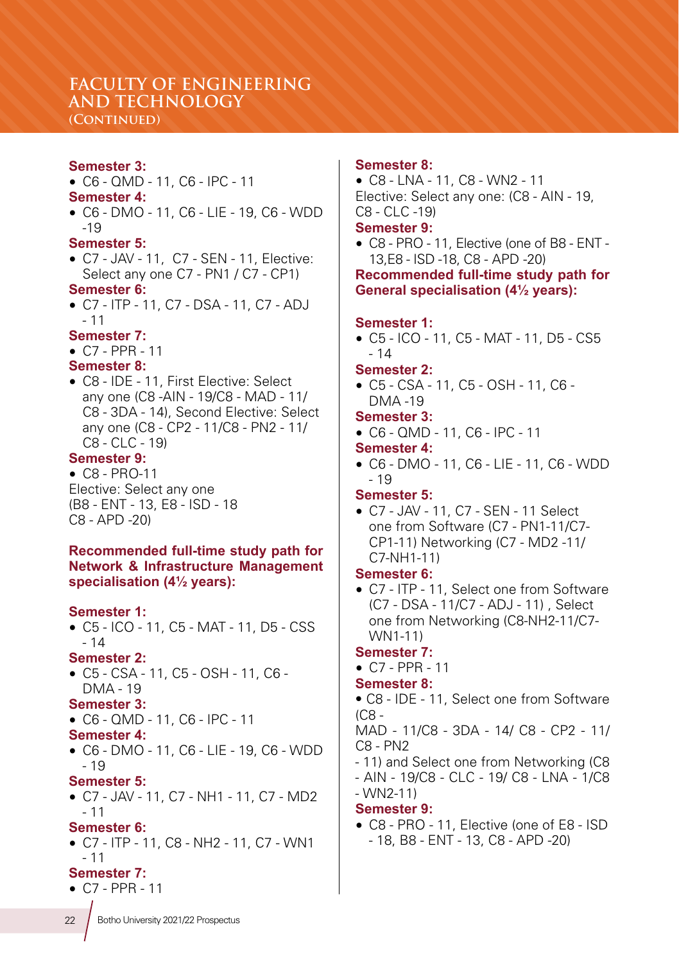# **FACULTY OF ENGINEERING AND TECHNOLOGY**

## **(Continued)**

#### **Semester 3:**

• C6 - QMD - 11, C6 - IPC - 11

#### **Semester 4:**

• C6 - DMO - 11, C6 - LIE - 19, C6 - WDD -19

#### **Semester 5:**

• C7 - JAV - 11, C7 - SEN - 11, Elective: Select any one C7 - PN1 / C7 - CP1)

#### **Semester 6:**

• C7 - ITP - 11, C7 - DSA - 11, C7 - ADJ  $-11$ 

#### **Semester 7:**

• C7 - PPR - 11

## **Semester 8:**

• C8 - IDE - 11, First Elective: Select any one (C8 -AIN - 19/C8 - MAD - 11/ C8 - 3DA - 14), Second Elective: Select any one (C8 - CP2 - 11/C8 - PN2 - 11/ C8 - CLC - 19)

#### **Semester 9:**

• C8 - PRO-11 Elective: Select any one (B8 - ENT - 13, E8 - ISD - 18 C8 - APD -20)

#### **Recommended full-time study path for Network & Infrastructure Management specialisation (4½ years):**

#### **Semester 1:**

• C5 - ICO - 11, C5 - MAT - 11, D5 - CSS  $-14$ 

#### **Semester 2:**

• C5 - CSA - 11, C5 - OSH - 11, C6 - DMA - 19

#### **Semester 3:**

- C6 QMD 11, C6 IPC 11
- **Semester 4:**
- C6 DMO 11, C6 LIE 19, C6 WDD - 19

#### **Semester 5:**

• C7 - JAV - 11, C7 - NH1 - 11, C7 - MD2  $-11$ 

#### **Semester 6:**

• C7 - ITP - 11, C8 - NH2 - 11, C7 - WN1  $-11$ 

## **Semester 7:**

• C7 - PPR - 11

#### **Semester 8:**

• C8 - LNA - 11, C8 - WN2 - 11 Elective: Select any one: (C8 - AIN - 19, C8 - CLC -19)

#### **Semester 9:**

• C8 - PRO - 11, Elective (one of B8 - ENT - 13,E8 - ISD -18, C8 - APD -20)

**Recommended full-time study path for General specialisation (4½ years):**

#### **Semester 1:**

• C5 - ICO - 11, C5 - MAT - 11, D5 - CS5  $-14$ 

#### **Semester 2:**

• C5 - CSA - 11, C5 - OSH - 11, C6 - DMA -19

## **Semester 3:**

• C6 - QMD - 11, C6 - IPC - 11

#### **Semester 4:**

• C6 - DMO - 11, C6 - LIE - 11, C6 - WDD  $-19$ 

#### **Semester 5:**

• C7 - JAV - 11, C7 - SEN - 11 Select one from Software (C7 - PN1-11/C7- CP1-11) Networking (C7 - MD2 -11/ C7-NH1-11)

#### **Semester 6:**

• C7 - ITP - 11, Select one from Software (C7 - DSA - 11/C7 - ADJ - 11) , Select one from Networking (C8-NH2-11/C7- WN1-11)

#### **Semester 7:**

• C7 - PPR - 11

#### **Semester 8:**

• C8 - IDE - 11, Select one from Software (C8 -

MAD - 11/C8 - 3DA - 14/ C8 - CP2 - 11/ C8 - PN2

- 11) and Select one from Networking (C8
- AIN 19/C8 CLC 19/ C8 LNA 1/C8 - WN2-11)

## **Semester 9:**

• C8 - PRO - 11, Elective (one of E8 - ISD - 18, B8 - ENT - 13, C8 - APD -20)